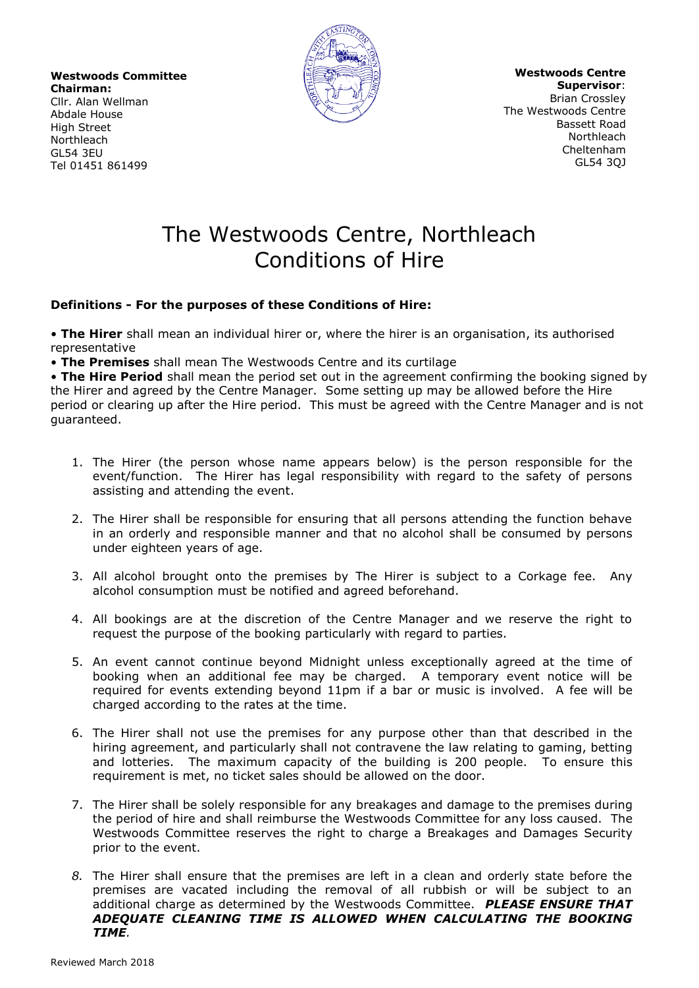**Westwoods Committee Chairman:** Cllr. Alan Wellman Abdale House High Street Northleach GL54 3EU

Tel 01451 861499



**Westwoods Centre Supervisor**: Brian Crossley The Westwoods Centre Bassett Road **Northleach** Cheltenham GL54 3QJ

## The Westwoods Centre, Northleach Conditions of Hire

## **Definitions - For the purposes of these Conditions of Hire:**

• **The Hirer** shall mean an individual hirer or, where the hirer is an organisation, its authorised representative

• **The Premises** shall mean The Westwoods Centre and its curtilage

• **The Hire Period** shall mean the period set out in the agreement confirming the booking signed by the Hirer and agreed by the Centre Manager. Some setting up may be allowed before the Hire period or clearing up after the Hire period. This must be agreed with the Centre Manager and is not guaranteed.

- 1. The Hirer (the person whose name appears below) is the person responsible for the event/function. The Hirer has legal responsibility with regard to the safety of persons assisting and attending the event.
- 2. The Hirer shall be responsible for ensuring that all persons attending the function behave in an orderly and responsible manner and that no alcohol shall be consumed by persons under eighteen years of age.
- 3. All alcohol brought onto the premises by The Hirer is subject to a Corkage fee. Any alcohol consumption must be notified and agreed beforehand.
- 4. All bookings are at the discretion of the Centre Manager and we reserve the right to request the purpose of the booking particularly with regard to parties.
- 5. An event cannot continue beyond Midnight unless exceptionally agreed at the time of booking when an additional fee may be charged. A temporary event notice will be required for events extending beyond 11pm if a bar or music is involved. A fee will be charged according to the rates at the time.
- 6. The Hirer shall not use the premises for any purpose other than that described in the hiring agreement, and particularly shall not contravene the law relating to gaming, betting and lotteries. The maximum capacity of the building is 200 people. To ensure this requirement is met, no ticket sales should be allowed on the door.
- 7. The Hirer shall be solely responsible for any breakages and damage to the premises during the period of hire and shall reimburse the Westwoods Committee for any loss caused. The Westwoods Committee reserves the right to charge a Breakages and Damages Security prior to the event.
- *8.* The Hirer shall ensure that the premises are left in a clean and orderly state before the premises are vacated including the removal of all rubbish or will be subject to an additional charge as determined by the Westwoods Committee. *PLEASE ENSURE THAT ADEQUATE CLEANING TIME IS ALLOWED WHEN CALCULATING THE BOOKING TIME.*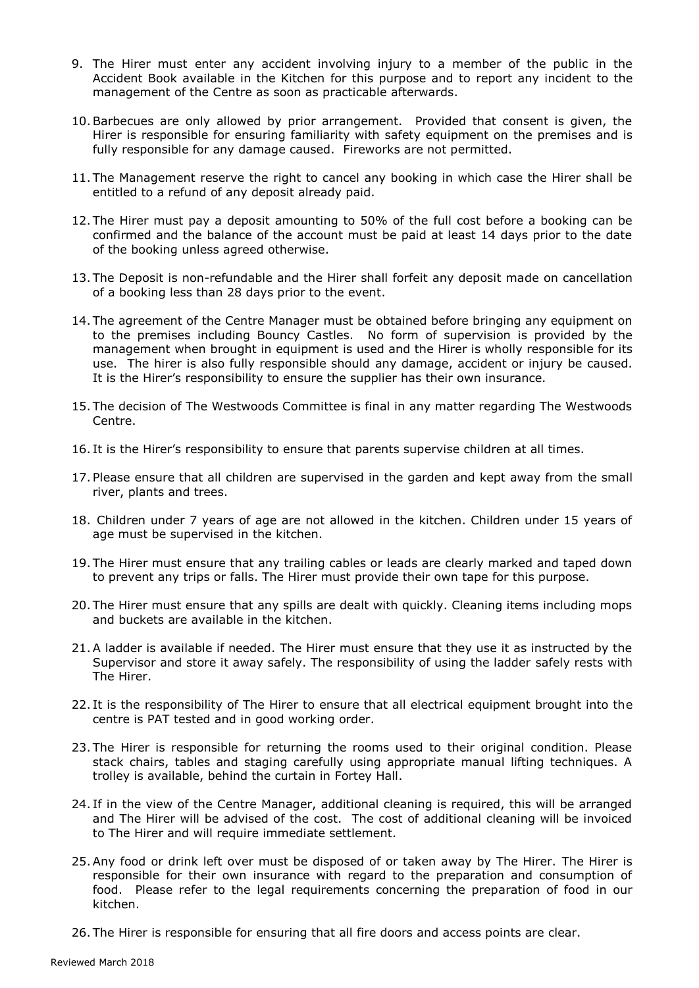- 9. The Hirer must enter any accident involving injury to a member of the public in the Accident Book available in the Kitchen for this purpose and to report any incident to the management of the Centre as soon as practicable afterwards.
- 10.Barbecues are only allowed by prior arrangement. Provided that consent is given, the Hirer is responsible for ensuring familiarity with safety equipment on the premises and is fully responsible for any damage caused. Fireworks are not permitted.
- 11. The Management reserve the right to cancel any booking in which case the Hirer shall be entitled to a refund of any deposit already paid.
- 12. The Hirer must pay a deposit amounting to 50% of the full cost before a booking can be confirmed and the balance of the account must be paid at least 14 days prior to the date of the booking unless agreed otherwise.
- 13. The Deposit is non-refundable and the Hirer shall forfeit any deposit made on cancellation of a booking less than 28 days prior to the event.
- 14. The agreement of the Centre Manager must be obtained before bringing any equipment on to the premises including Bouncy Castles. No form of supervision is provided by the management when brought in equipment is used and the Hirer is wholly responsible for its use. The hirer is also fully responsible should any damage, accident or injury be caused. It is the Hirer's responsibility to ensure the supplier has their own insurance.
- 15. The decision of The Westwoods Committee is final in any matter regarding The Westwoods Centre.
- 16. It is the Hirer's responsibility to ensure that parents supervise children at all times.
- 17. Please ensure that all children are supervised in the garden and kept away from the small river, plants and trees.
- 18. Children under 7 years of age are not allowed in the kitchen. Children under 15 years of age must be supervised in the kitchen.
- 19. The Hirer must ensure that any trailing cables or leads are clearly marked and taped down to prevent any trips or falls. The Hirer must provide their own tape for this purpose.
- 20. The Hirer must ensure that any spills are dealt with quickly. Cleaning items including mops and buckets are available in the kitchen.
- 21.A ladder is available if needed. The Hirer must ensure that they use it as instructed by the Supervisor and store it away safely. The responsibility of using the ladder safely rests with The Hirer.
- 22. It is the responsibility of The Hirer to ensure that all electrical equipment brought into the centre is PAT tested and in good working order.
- 23. The Hirer is responsible for returning the rooms used to their original condition. Please stack chairs, tables and staging carefully using appropriate manual lifting techniques. A trolley is available, behind the curtain in Fortey Hall.
- 24. If in the view of the Centre Manager, additional cleaning is required, this will be arranged and The Hirer will be advised of the cost. The cost of additional cleaning will be invoiced to The Hirer and will require immediate settlement.
- 25.Any food or drink left over must be disposed of or taken away by The Hirer. The Hirer is responsible for their own insurance with regard to the preparation and consumption of food. Please refer to the legal requirements concerning the preparation of food in our kitchen.
- 26. The Hirer is responsible for ensuring that all fire doors and access points are clear.